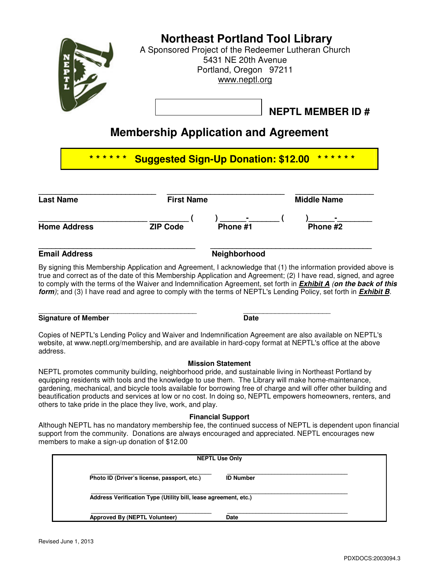

## **Membership Application and Agreement**

| <b>Last Name</b>    | <b>First Name</b> |                    | <b>Middle Name</b>         |  |
|---------------------|-------------------|--------------------|----------------------------|--|
| <b>Home Address</b> | <b>ZIP Code</b>   | $\sim$<br>Phone #1 | $\blacksquare$<br>Phone #2 |  |

#### **Email Address Neighborhood Neighborhood**

By signing this Membership Application and Agreement, I acknowledge that (1) the information provided above is true and correct as of the date of this Membership Application and Agreement; (2) I have read, signed, and agree to comply with the terms of the Waiver and Indemnification Agreement, set forth in **Exhibit A** (**on the back of this form**); and (3) I have read and agree to comply with the terms of NEPTL's Lending Policy, set forth in **Exhibit B**.

\_\_\_\_\_\_\_\_\_\_\_\_\_\_\_\_\_\_\_\_\_\_\_\_\_\_\_\_\_\_\_\_\_\_\_\_\_\_\_\_ \_\_\_\_\_\_\_\_\_\_\_\_\_\_\_\_\_\_\_\_\_\_ **Signature of Member Date 2008 Contract Contract Date Contract Contract Date Date** 

Copies of NEPTL's Lending Policy and Waiver and Indemnification Agreement are also available on NEPTL's website, at www.neptl.org/membership, and are available in hard-copy format at NEPTL's office at the above address.

#### **Mission Statement**

NEPTL promotes community building, neighborhood pride, and sustainable living in Northeast Portland by equipping residents with tools and the knowledge to use them. The Library will make home-maintenance, gardening, mechanical, and bicycle tools available for borrowing free of charge and will offer other building and beautification products and services at low or no cost. In doing so, NEPTL empowers homeowners, renters, and others to take pride in the place they live, work, and play.

#### **Financial Support**

Although NEPTL has no mandatory membership fee, the continued success of NEPTL is dependent upon financial support from the community. Donations are always encouraged and appreciated. NEPTL encourages new members to make a sign-up donation of \$12.00

|                                                                 | <b>NEPTL Use Only</b> |  |
|-----------------------------------------------------------------|-----------------------|--|
| Photo ID (Driver's license, passport, etc.)                     | <b>ID Number</b>      |  |
| Address Verification Type (Utility bill, lease agreement, etc.) |                       |  |
| Approved By (NEPTL Volunteer)                                   | <b>Date</b>           |  |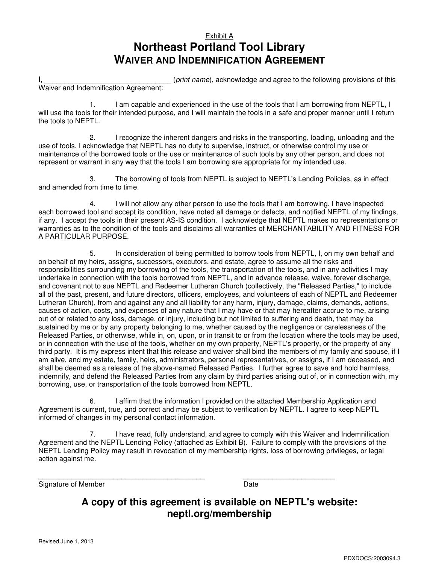### Exhibit A **Northeast Portland Tool Library WAIVER AND INDEMNIFICATION AGREEMENT**

I, the same of this contained a series (print name), acknowledge and agree to the following provisions of this Waiver and Indemnification Agreement:

1. I am capable and experienced in the use of the tools that I am borrowing from NEPTL, I will use the tools for their intended purpose, and I will maintain the tools in a safe and proper manner until I return the tools to NEPTL.

2. I recognize the inherent dangers and risks in the transporting, loading, unloading and the use of tools. I acknowledge that NEPTL has no duty to supervise, instruct, or otherwise control my use or maintenance of the borrowed tools or the use or maintenance of such tools by any other person, and does not represent or warrant in any way that the tools I am borrowing are appropriate for my intended use.

3. The borrowing of tools from NEPTL is subject to NEPTL's Lending Policies, as in effect and amended from time to time.

4. I will not allow any other person to use the tools that I am borrowing. I have inspected each borrowed tool and accept its condition, have noted all damage or defects, and notified NEPTL of my findings, if any. I accept the tools in their present AS-IS condition. I acknowledge that NEPTL makes no representations or warranties as to the condition of the tools and disclaims all warranties of MERCHANTABILITY AND FITNESS FOR A PARTICULAR PURPOSE.

5. In consideration of being permitted to borrow tools from NEPTL, I, on my own behalf and on behalf of my heirs, assigns, successors, executors, and estate, agree to assume all the risks and responsibilities surrounding my borrowing of the tools, the transportation of the tools, and in any activities I may undertake in connection with the tools borrowed from NEPTL, and in advance release, waive, forever discharge, and covenant not to sue NEPTL and Redeemer Lutheran Church (collectively, the "Released Parties," to include all of the past, present, and future directors, officers, employees, and volunteers of each of NEPTL and Redeemer Lutheran Church), from and against any and all liability for any harm, injury, damage, claims, demands, actions, causes of action, costs, and expenses of any nature that I may have or that may hereafter accrue to me, arising out of or related to any loss, damage, or injury, including but not limited to suffering and death, that may be sustained by me or by any property belonging to me, whether caused by the negligence or carelessness of the Released Parties, or otherwise, while in, on, upon, or in transit to or from the location where the tools may be used, or in connection with the use of the tools, whether on my own property, NEPTL's property, or the property of any third party. It is my express intent that this release and waiver shall bind the members of my family and spouse, if I am alive, and my estate, family, heirs, administrators, personal representatives, or assigns, if I am deceased, and shall be deemed as a release of the above-named Released Parties. I further agree to save and hold harmless, indemnify, and defend the Released Parties from any claim by third parties arising out of, or in connection with, my borrowing, use, or transportation of the tools borrowed from NEPTL.

6. I affirm that the information I provided on the attached Membership Application and Agreement is current, true, and correct and may be subject to verification by NEPTL. I agree to keep NEPTL informed of changes in my personal contact information.

7. I have read, fully understand, and agree to comply with this Waiver and Indemnification Agreement and the NEPTL Lending Policy (attached as Exhibit B). Failure to comply with the provisions of the NEPTL Lending Policy may result in revocation of my membership rights, loss of borrowing privileges, or legal action against me.

Signature of Member **Date** Date

\_\_\_\_\_\_\_\_\_\_\_\_\_\_\_\_\_\_\_\_\_\_\_\_\_\_\_\_\_\_\_\_\_\_\_\_\_\_\_\_ \_\_\_\_\_\_\_\_\_\_\_\_\_\_\_\_\_\_\_\_\_\_

### **A copy of this agreement is available on NEPTL's website: neptl.org/membership**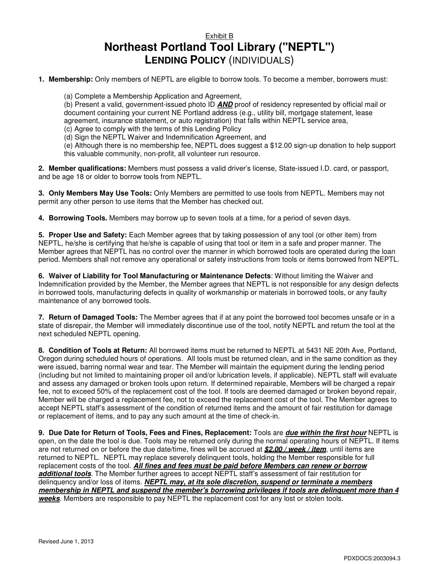### Exhibit B **Northeast Portland Tool Library ("NEPTL") LENDING POLICY** (INDIVIDUALS)

**1. Membership:** Only members of NEPTL are eligible to borrow tools. To become a member, borrowers must:

(a) Complete a Membership Application and Agreement,

(b) Present a valid, government-issued photo ID **AND** proof of residency represented by official mail or document containing your current NE Portland address (e.g., utility bill, mortgage statement, lease agreement, insurance statement, or auto registration) that falls within NEPTL service area,

(c) Agree to comply with the terms of this Lending Policy

(d) Sign the NEPTL Waiver and Indemnification Agreement, and

(e) Although there is no membership fee, NEPTL does suggest a \$12.00 sign-up donation to help support this valuable community, non-profit, all volunteer run resource.

**2. Member qualifications:** Members must possess a valid driver's license, State-issued I.D. card, or passport, and be age 18 or older to borrow tools from NEPTL.

**3. Only Members May Use Tools:** Only Members are permitted to use tools from NEPTL. Members may not permit any other person to use items that the Member has checked out.

**4. Borrowing Tools.** Members may borrow up to seven tools at a time, for a period of seven days.

**5. Proper Use and Safety:** Each Member agrees that by taking possession of any tool (or other item) from NEPTL, he/she is certifying that he/she is capable of using that tool or item in a safe and proper manner. The Member agrees that NEPTL has no control over the manner in which borrowed tools are operated during the loan period. Members shall not remove any operational or safety instructions from tools or items borrowed from NEPTL.

**6. Waiver of Liability for Tool Manufacturing or Maintenance Defects**: Without limiting the Waiver and Indemnification provided by the Member, the Member agrees that NEPTL is not responsible for any design defects in borrowed tools, manufacturing defects in quality of workmanship or materials in borrowed tools, or any faulty maintenance of any borrowed tools.

**7. Return of Damaged Tools:** The Member agrees that if at any point the borrowed tool becomes unsafe or in a state of disrepair, the Member will immediately discontinue use of the tool, notify NEPTL and return the tool at the next scheduled NEPTL opening.

**8. Condition of Tools at Return:** All borrowed items must be returned to NEPTL at 5431 NE 20th Ave, Portland, Oregon during scheduled hours of operations. All tools must be returned clean, and in the same condition as they were issued, barring normal wear and tear. The Member will maintain the equipment during the lending period (including but not limited to maintaining proper oil and/or lubrication levels, if applicable). NEPTL staff will evaluate and assess any damaged or broken tools upon return. If determined repairable, Members will be charged a repair fee, not to exceed 50% of the replacement cost of the tool. If tools are deemed damaged or broken beyond repair, Member will be charged a replacement fee, not to exceed the replacement cost of the tool. The Member agrees to accept NEPTL staff's assessment of the condition of returned items and the amount of fair restitution for damage or replacement of items, and to pay any such amount at the time of check-in.

**9. Due Date for Return of Tools, Fees and Fines, Replacement:** Tools are **due within the first hour** NEPTL is open, on the date the tool is due. Tools may be returned only during the normal operating hours of NEPTL. If items are not returned on or before the due date/time, fines will be accrued at **\$2.00 / week / item**, until items are returned to NEPTL. NEPTL may replace severely delinquent tools, holding the Member responsible for full replacement costs of the tool. **All fines and fees must be paid before Members can renew or borrow additional tools**. The Member further agrees to accept NEPTL staff's assessment of fair restitution for delinquency and/or loss of items. **NEPTL may, at its sole discretion, suspend or terminate a members membership in NEPTL and suspend the member's borrowing privileges if tools are delinquent more than 4 weeks**. Members are responsible to pay NEPTL the replacement cost for any lost or stolen tools.